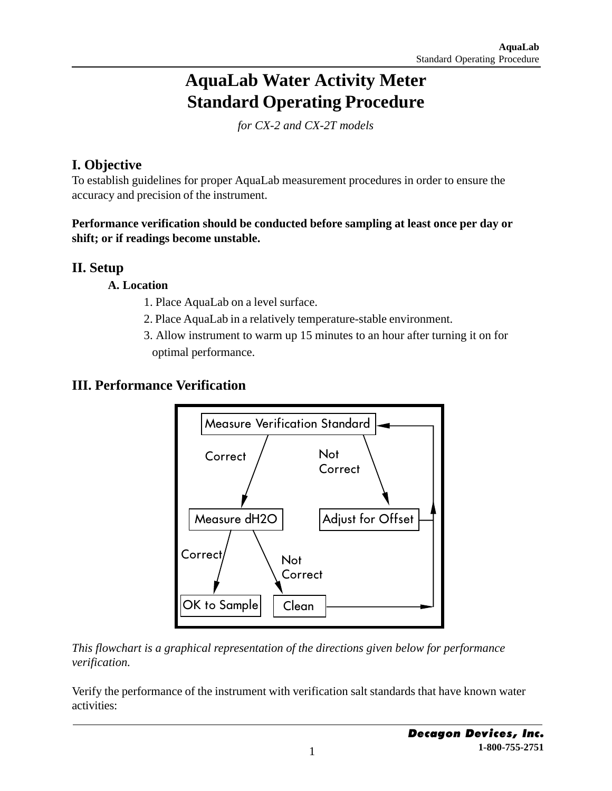# **AquaLab Water Activity Meter Standard Operating Procedure**

*for CX-2 and CX-2T models*

# **I. Objective**

To establish guidelines for proper AquaLab measurement procedures in order to ensure the accuracy and precision of the instrument.

**Performance verification should be conducted before sampling at least once per day or shift; or if readings become unstable.**

## **II. Setup**

#### **A. Location**

- 1. Place AquaLab on a level surface.
- 2. Place AquaLab in a relatively temperature-stable environment.
- 3. Allow instrument to warm up 15 minutes to an hour after turning it on for optimal performance.

# **III. Performance Verification**



*This flowchart is a graphical representation of the directions given below for performance verification.*

Verify the performance of the instrument with verification salt standards that have known water activities: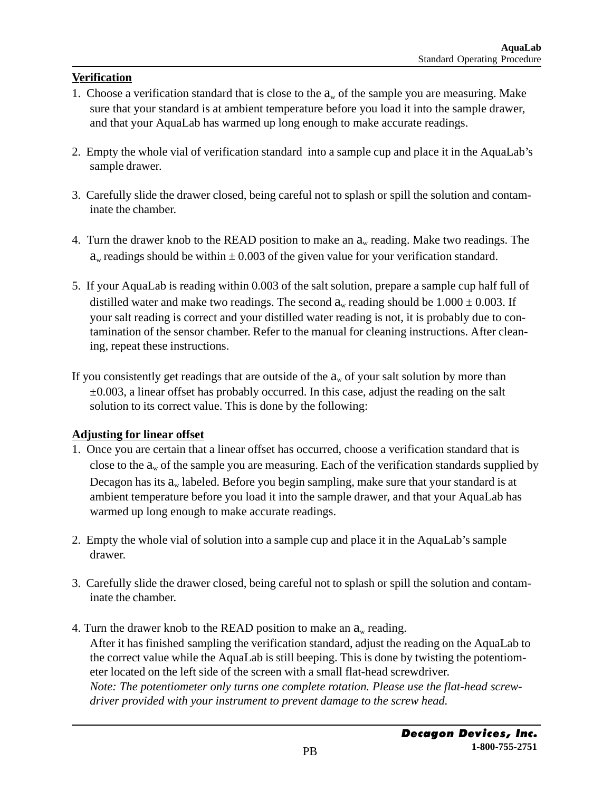#### **Verification**

- 1. Choose a verification standard that is close to the  $a_w$  of the sample you are measuring. Make sure that your standard is at ambient temperature before you load it into the sample drawer, and that your AquaLab has warmed up long enough to make accurate readings.
- 2. Empty the whole vial of verification standard into a sample cup and place it in the AquaLab's sample drawer.
- 3. Carefully slide the drawer closed, being careful not to splash or spill the solution and contaminate the chamber.
- 4. Turn the drawer knob to the READ position to make an  $a<sub>w</sub>$  reading. Make two readings. The  $a<sub>w</sub>$  readings should be within  $\pm 0.003$  of the given value for your verification standard.
- 5. If your AquaLab is reading within 0.003 of the salt solution, prepare a sample cup half full of distilled water and make two readings. The second  $a_w$  reading should be  $1.000 \pm 0.003$ . If your salt reading is correct and your distilled water reading is not, it is probably due to contamination of the sensor chamber. Refer to the manual for cleaning instructions. After cleaning, repeat these instructions.
- If you consistently get readings that are outside of the  $a_w$  of your salt solution by more than  $\pm 0.003$ , a linear offset has probably occurred. In this case, adjust the reading on the salt solution to its correct value. This is done by the following:

#### **Adjusting for linear offset**

- 1. Once you are certain that a linear offset has occurred, choose a verification standard that is close to the  $a_w$  of the sample you are measuring. Each of the verification standards supplied by Decagon has its  $a_w$  labeled. Before you begin sampling, make sure that your standard is at ambient temperature before you load it into the sample drawer, and that your AquaLab has warmed up long enough to make accurate readings.
- 2. Empty the whole vial of solution into a sample cup and place it in the AquaLab's sample drawer.
- 3. Carefully slide the drawer closed, being careful not to splash or spill the solution and contaminate the chamber.
- 4. Turn the drawer knob to the READ position to make an  $a_w$  reading. After it has finished sampling the verification standard, adjust the reading on the AquaLab to the correct value while the AquaLab is still beeping. This is done by twisting the potentiometer located on the left side of the screen with a small flat-head screwdriver.  *Note: The potentiometer only turns one complete rotation. Please use the flat-head screwdriver provided with your instrument to prevent damage to the screw head.*